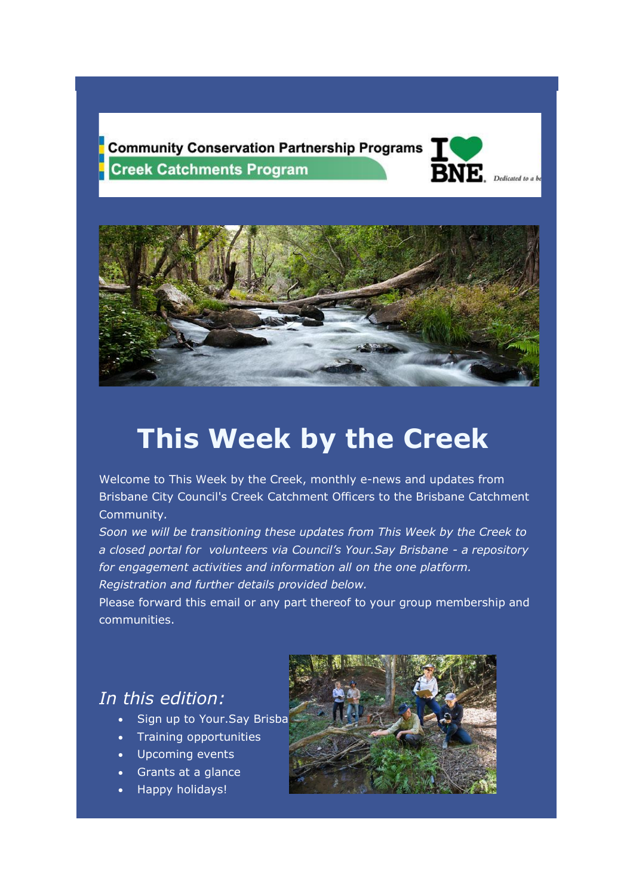**Community Conservation Partnership Programs Creek Catchments Program** 





# **This Week by the Creek**

Welcome to This Week by the Creek, monthly e-news and updates from Brisbane City Council's Creek Catchment Officers to the Brisbane Catchment Community*.*

*Soon we will be transitioning these updates from This Week by the Creek to a closed portal for volunteers via Council's Your.Say Brisbane - a repository for engagement activities and information all on the one platform. Registration and further details provided below.*

Please forward this email or any part thereof to your group membership and communities.

### *In this edition:*

- Sign up to Your.Say Brisba
- Training opportunities
- Upcoming events
- Grants at a glance
- Happy holidays!

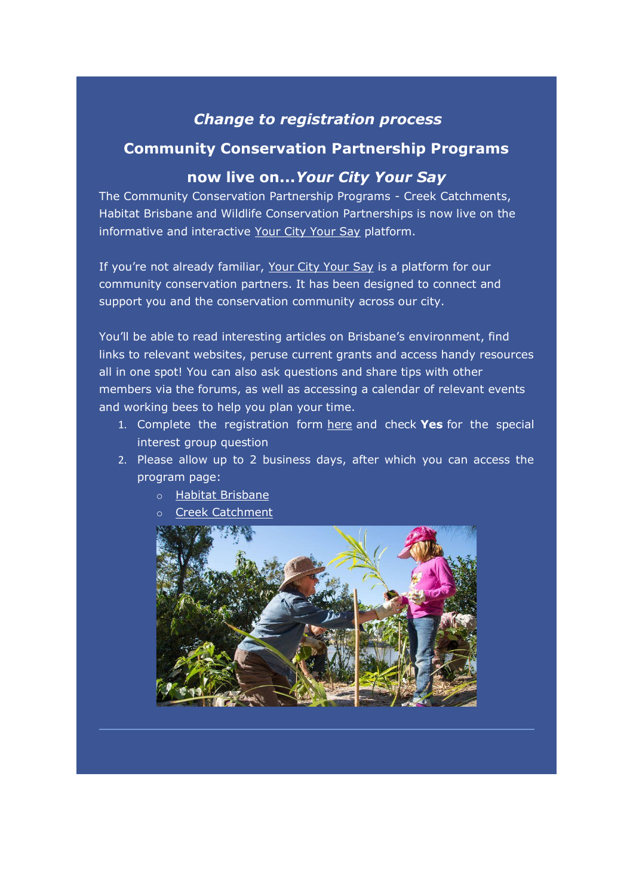### *Change to registration process*

### **Community Conservation Partnership Programs**

### **now live on...***Your City Your Say*

The Community Conservation Partnership Programs - Creek Catchments, Habitat Brisbane and Wildlife Conservation Partnerships is now live on the informative and interactive [Your City Your Say](https://aus01.safelinks.protection.outlook.com/?url=https%3A%2F%2Fqld.us13.list-manage.com%2Ftrack%2Fclick%3Fu%3Da922fafc86dd7f2502e47f421%26id%3D5c773bc4ea%26e%3Db990b91f1a&data=04%7C01%7Cjodi.rees%40brisbane.qld.gov.au%7C348150d2cd2043f8cd1c08d9da293d0c%7Ca47f8d5aa5f24813a71af0d70679e236%7C0%7C0%7C637780693731086616%7CUnknown%7CTWFpbGZsb3d8eyJWIjoiMC4wLjAwMDAiLCJQIjoiV2luMzIiLCJBTiI6Ik1haWwiLCJXVCI6Mn0%3D%7C3000&sdata=CHmNjlDExxtb%2FuhktyYUr8YrjgvZBDohDxgi4uX%2FBOY%3D&reserved=0) platform.

If you're not already familiar, [Your City Your Say](https://aus01.safelinks.protection.outlook.com/?url=https%3A%2F%2Fqld.us13.list-manage.com%2Ftrack%2Fclick%3Fu%3Da922fafc86dd7f2502e47f421%26id%3D24c2cd084a%26e%3Db990b91f1a&data=04%7C01%7Cjodi.rees%40brisbane.qld.gov.au%7C348150d2cd2043f8cd1c08d9da293d0c%7Ca47f8d5aa5f24813a71af0d70679e236%7C0%7C0%7C637780693731096571%7CUnknown%7CTWFpbGZsb3d8eyJWIjoiMC4wLjAwMDAiLCJQIjoiV2luMzIiLCJBTiI6Ik1haWwiLCJXVCI6Mn0%3D%7C3000&sdata=40%2BF1wDYmXsOW0dS0ChQjh8ONsZGANlppFYc3oXD%2Bhk%3D&reserved=0) is a platform for our community conservation partners. It has been designed to connect and support you and the conservation community across our city.

You'll be able to read interesting articles on Brisbane's environment, find links to relevant websites, peruse current grants and access handy resources all in one spot! You can also ask questions and share tips with other members via the forums, as well as accessing a calendar of relevant events and working bees to help you plan your time.

- 1. Complete the registration form [here](https://aus01.safelinks.protection.outlook.com/?url=https%3A%2F%2Fqld.us13.list-manage.com%2Ftrack%2Fclick%3Fu%3Da922fafc86dd7f2502e47f421%26id%3D1460f94fbd%26e%3Db990b91f1a&data=04%7C01%7Cjodi.rees%40brisbane.qld.gov.au%7C348150d2cd2043f8cd1c08d9da293d0c%7Ca47f8d5aa5f24813a71af0d70679e236%7C0%7C0%7C637780693731106526%7CUnknown%7CTWFpbGZsb3d8eyJWIjoiMC4wLjAwMDAiLCJQIjoiV2luMzIiLCJBTiI6Ik1haWwiLCJXVCI6Mn0%3D%7C3000&sdata=K6z8DQYjT1fBM1raL6ViAYcrOGY%2FmXuxJh4q2zaXcd0%3D&reserved=0) and check **Yes** for the special interest group question
- 2. Please allow up to 2 business days, after which you can access the program page:
	- o [Habitat Brisbane](https://aus01.safelinks.protection.outlook.com/?url=https%3A%2F%2Fqld.us13.list-manage.com%2Ftrack%2Fclick%3Fu%3Da922fafc86dd7f2502e47f421%26id%3D0eacc0980f%26e%3Db990b91f1a&data=04%7C01%7Cjodi.rees%40brisbane.qld.gov.au%7C348150d2cd2043f8cd1c08d9da293d0c%7Ca47f8d5aa5f24813a71af0d70679e236%7C0%7C0%7C637780693731106526%7CUnknown%7CTWFpbGZsb3d8eyJWIjoiMC4wLjAwMDAiLCJQIjoiV2luMzIiLCJBTiI6Ik1haWwiLCJXVCI6Mn0%3D%7C3000&sdata=BHm%2FctXQfBG2M%2Fyrd2b9aS9yd%2BGMynAcAO%2FeMfLlgdA%3D&reserved=0)
	- [Creek Catchment](https://aus01.safelinks.protection.outlook.com/?url=https%3A%2F%2Fqld.us13.list-manage.com%2Ftrack%2Fclick%3Fu%3Da922fafc86dd7f2502e47f421%26id%3D4b5fb4fa8f%26e%3Db990b91f1a&data=04%7C01%7Cjodi.rees%40brisbane.qld.gov.au%7C348150d2cd2043f8cd1c08d9da293d0c%7Ca47f8d5aa5f24813a71af0d70679e236%7C0%7C0%7C637780693731116485%7CUnknown%7CTWFpbGZsb3d8eyJWIjoiMC4wLjAwMDAiLCJQIjoiV2luMzIiLCJBTiI6Ik1haWwiLCJXVCI6Mn0%3D%7C3000&sdata=oEyUOoXoaE0a1DFVse0y%2FKLAAmOfsbYrjT5zIKJISU4%3D&reserved=0)

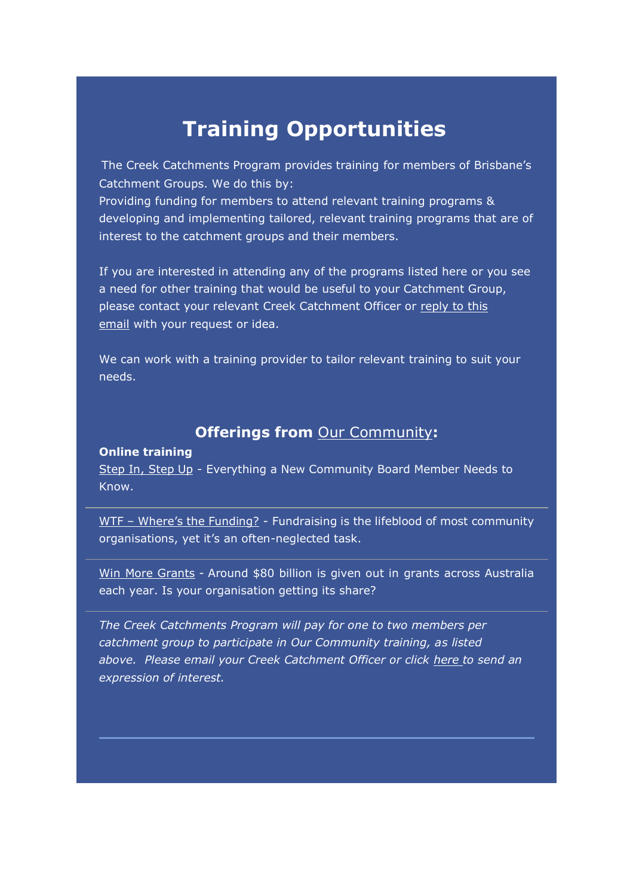# **Training Opportunities**

The Creek Catchments Program provides training for members of Brisbane's Catchment Groups. We do this by:

Providing funding for members to attend relevant training programs & developing and implementing tailored, relevant training programs that are of interest to the catchment groups and their members.

If you are interested in attending any of the programs listed here or you see a need for other training that would be useful to your Catchment Group, please contact your relevant Creek Catchment Officer or [reply to this](mailto:CCOfficers@brisbane.qld.gov.au)  [email](mailto:CCOfficers@brisbane.qld.gov.au) with your request or idea.

We can work with a training provider to tailor relevant training to suit your needs.

### **Offerings from** [Our Community](https://aus01.safelinks.protection.outlook.com/?url=https%3A%2F%2Fqld.us13.list-manage.com%2Ftrack%2Fclick%3Fu%3Da922fafc86dd7f2502e47f421%26id%3D90c6d78e27%26e%3Db990b91f1a&data=04%7C01%7Cjodi.rees%40brisbane.qld.gov.au%7C348150d2cd2043f8cd1c08d9da293d0c%7Ca47f8d5aa5f24813a71af0d70679e236%7C0%7C0%7C637780693731116485%7CUnknown%7CTWFpbGZsb3d8eyJWIjoiMC4wLjAwMDAiLCJQIjoiV2luMzIiLCJBTiI6Ik1haWwiLCJXVCI6Mn0%3D%7C3000&sdata=Uspx2RyUm0rPcNt6NgJ%2B%2BU3wznTBxMSX66G4jQMrvCg%3D&reserved=0)**:**

#### **Online training**

[Step In, Step Up](https://aus01.safelinks.protection.outlook.com/?url=https%3A%2F%2Fqld.us13.list-manage.com%2Ftrack%2Fclick%3Fu%3Da922fafc86dd7f2502e47f421%26id%3D5d4aba3329%26e%3Db990b91f1a&data=04%7C01%7Cjodi.rees%40brisbane.qld.gov.au%7C348150d2cd2043f8cd1c08d9da293d0c%7Ca47f8d5aa5f24813a71af0d70679e236%7C0%7C0%7C637780693731126441%7CUnknown%7CTWFpbGZsb3d8eyJWIjoiMC4wLjAwMDAiLCJQIjoiV2luMzIiLCJBTiI6Ik1haWwiLCJXVCI6Mn0%3D%7C3000&sdata=kT3Nc04crlNuzPe9azKxIYVp3f%2FvQsPvWfDZyY5EUZY%3D&reserved=0) - Everything a New Community Board Member Needs to Know.

WTF – [Where's the Funding?](https://aus01.safelinks.protection.outlook.com/?url=https%3A%2F%2Fqld.us13.list-manage.com%2Ftrack%2Fclick%3Fu%3Da922fafc86dd7f2502e47f421%26id%3Dfb6de44152%26e%3Db990b91f1a&data=04%7C01%7Cjodi.rees%40brisbane.qld.gov.au%7C348150d2cd2043f8cd1c08d9da293d0c%7Ca47f8d5aa5f24813a71af0d70679e236%7C0%7C0%7C637780693731136401%7CUnknown%7CTWFpbGZsb3d8eyJWIjoiMC4wLjAwMDAiLCJQIjoiV2luMzIiLCJBTiI6Ik1haWwiLCJXVCI6Mn0%3D%7C3000&sdata=Er20hYGLqHRV8BIcfc3EN0gtuG%2FqzYEL6qhWTX1Ss9s%3D&reserved=0) - Fundraising is the lifeblood of most community organisations, yet it's an often-neglected task.

[Win More Grants](https://aus01.safelinks.protection.outlook.com/?url=https%3A%2F%2Fqld.us13.list-manage.com%2Ftrack%2Fclick%3Fu%3Da922fafc86dd7f2502e47f421%26id%3D8a16883f55%26e%3Db990b91f1a&data=04%7C01%7Cjodi.rees%40brisbane.qld.gov.au%7C348150d2cd2043f8cd1c08d9da293d0c%7Ca47f8d5aa5f24813a71af0d70679e236%7C0%7C0%7C637780693731136401%7CUnknown%7CTWFpbGZsb3d8eyJWIjoiMC4wLjAwMDAiLCJQIjoiV2luMzIiLCJBTiI6Ik1haWwiLCJXVCI6Mn0%3D%7C3000&sdata=X3zpY%2FFagG0lGc7MviMpv%2BgoubT9HgZgKI87UnajaVM%3D&reserved=0) - Around \$80 billion is given out in grants across Australia each year. Is your organisation getting its share?

*The Creek Catchments Program will pay for one to two members per catchment group to participate in Our Community training, as listed above. Please email your Creek Catchment Officer or click [here](https://aus01.safelinks.protection.outlook.com/?url=https%3A%2F%2Fqld.us13.list-manage.com%2Ftrack%2Fclick%3Fu%3Da922fafc86dd7f2502e47f421%26id%3D6297ea594c%26e%3Db990b91f1a&data=04%7C01%7Cjodi.rees%40brisbane.qld.gov.au%7C348150d2cd2043f8cd1c08d9da293d0c%7Ca47f8d5aa5f24813a71af0d70679e236%7C0%7C0%7C637780693731146353%7CUnknown%7CTWFpbGZsb3d8eyJWIjoiMC4wLjAwMDAiLCJQIjoiV2luMzIiLCJBTiI6Ik1haWwiLCJXVCI6Mn0%3D%7C3000&sdata=ymeYcYfEYOOK8m7Jf8bLSjXun6ObHTmErtxhLr37Qx4%3D&reserved=0) to send an expression of interest.*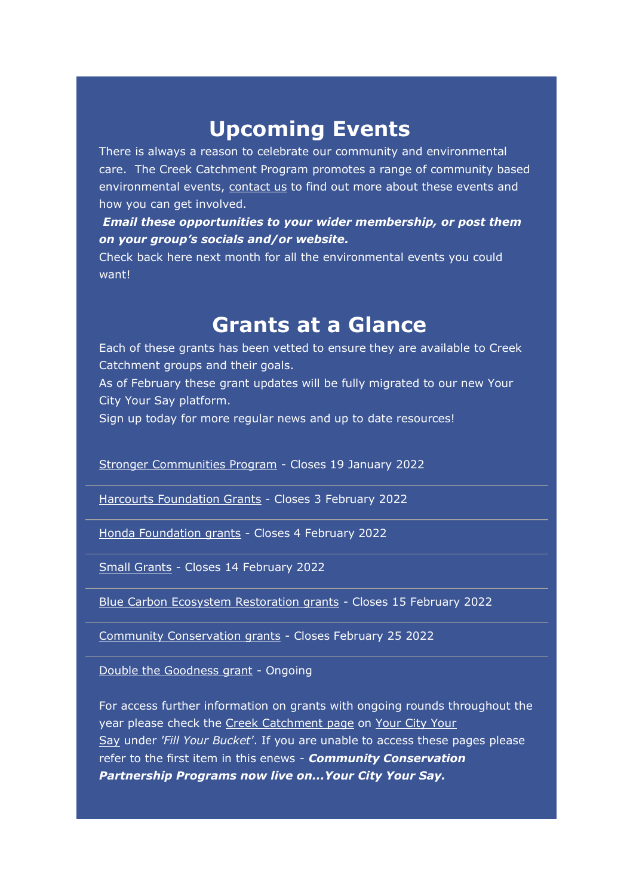# **Upcoming Events**

There is always a reason to celebrate our community and environmental care. The Creek Catchment Program promotes a range of community based environmental events, [contact us](mailto:CCOfficers@brisbane.qld.gov.au) to find out more about these events and how you can get involved.

*Email these opportunities to your wider membership, or post them on your group's socials and/or website.*

Check back here next month for all the environmental events you could want!

### **Grants at a Glance**

Each of these grants has been vetted to ensure they are available to Creek Catchment groups and their goals.

As of February these grant updates will be fully migrated to our new Your City Your Say platform.

Sign up today for more regular news and up to date resources!

[Stronger Communities Program](https://aus01.safelinks.protection.outlook.com/?url=https%3A%2F%2Fqld.us13.list-manage.com%2Ftrack%2Fclick%3Fu%3Da922fafc86dd7f2502e47f421%26id%3Dd789304236%26e%3Db990b91f1a&data=04%7C01%7Cjodi.rees%40brisbane.qld.gov.au%7C348150d2cd2043f8cd1c08d9da293d0c%7Ca47f8d5aa5f24813a71af0d70679e236%7C0%7C0%7C637780693731146353%7CUnknown%7CTWFpbGZsb3d8eyJWIjoiMC4wLjAwMDAiLCJQIjoiV2luMzIiLCJBTiI6Ik1haWwiLCJXVCI6Mn0%3D%7C3000&sdata=7lGk8fQlUpfj7Txfggr4Iv%2FtL3a3b6udF0DabsupZ5A%3D&reserved=0) - Closes 19 January 2022

[Harcourts Foundation Grants](https://aus01.safelinks.protection.outlook.com/?url=https%3A%2F%2Fqld.us13.list-manage.com%2Ftrack%2Fclick%3Fu%3Da922fafc86dd7f2502e47f421%26id%3D2e8b095834%26e%3Db990b91f1a&data=04%7C01%7Cjodi.rees%40brisbane.qld.gov.au%7C348150d2cd2043f8cd1c08d9da293d0c%7Ca47f8d5aa5f24813a71af0d70679e236%7C0%7C0%7C637780693731156310%7CUnknown%7CTWFpbGZsb3d8eyJWIjoiMC4wLjAwMDAiLCJQIjoiV2luMzIiLCJBTiI6Ik1haWwiLCJXVCI6Mn0%3D%7C3000&sdata=4%2FVuHd2AFulzzPAiEFkouDPUd79nkDSEb6FfHfh%2FiGs%3D&reserved=0) - Closes 3 February 2022

[Honda Foundation grants](https://aus01.safelinks.protection.outlook.com/?url=https%3A%2F%2Fqld.us13.list-manage.com%2Ftrack%2Fclick%3Fu%3Da922fafc86dd7f2502e47f421%26id%3D7f9f6b5fa8%26e%3Db990b91f1a&data=04%7C01%7Cjodi.rees%40brisbane.qld.gov.au%7C348150d2cd2043f8cd1c08d9da293d0c%7Ca47f8d5aa5f24813a71af0d70679e236%7C0%7C0%7C637780693731166271%7CUnknown%7CTWFpbGZsb3d8eyJWIjoiMC4wLjAwMDAiLCJQIjoiV2luMzIiLCJBTiI6Ik1haWwiLCJXVCI6Mn0%3D%7C3000&sdata=mDXj8X9KQXRpTxqve6rfT7sba%2FDMdGxPI%2F1wLcQIzdo%3D&reserved=0) - Closes 4 February 2022

[Small Grants](https://aus01.safelinks.protection.outlook.com/?url=https%3A%2F%2Fqld.us13.list-manage.com%2Ftrack%2Fclick%3Fu%3Da922fafc86dd7f2502e47f421%26id%3D592b3a5dfe%26e%3Db990b91f1a&data=04%7C01%7Cjodi.rees%40brisbane.qld.gov.au%7C348150d2cd2043f8cd1c08d9da293d0c%7Ca47f8d5aa5f24813a71af0d70679e236%7C0%7C0%7C637780693731166271%7CUnknown%7CTWFpbGZsb3d8eyJWIjoiMC4wLjAwMDAiLCJQIjoiV2luMzIiLCJBTiI6Ik1haWwiLCJXVCI6Mn0%3D%7C3000&sdata=Ep1yqUlrSuOwK67BEGy3h35HypOwidqk4tCIjUqdc48%3D&reserved=0) - Closes 14 February 2022

[Blue Carbon Ecosystem Restoration grants](https://aus01.safelinks.protection.outlook.com/?url=https%3A%2F%2Fqld.us13.list-manage.com%2Ftrack%2Fclick%3Fu%3Da922fafc86dd7f2502e47f421%26id%3Dacb5df728f%26e%3Db990b91f1a&data=04%7C01%7Cjodi.rees%40brisbane.qld.gov.au%7C348150d2cd2043f8cd1c08d9da293d0c%7Ca47f8d5aa5f24813a71af0d70679e236%7C0%7C0%7C637780693731176239%7CUnknown%7CTWFpbGZsb3d8eyJWIjoiMC4wLjAwMDAiLCJQIjoiV2luMzIiLCJBTiI6Ik1haWwiLCJXVCI6Mn0%3D%7C3000&sdata=vVj4kwS8cIDEZOwIoN87IIHv171H6iNUWVzCpqjFR64%3D&reserved=0) - Closes 15 February 2022

[Community Conservation grants](https://aus01.safelinks.protection.outlook.com/?url=https%3A%2F%2Fqld.us13.list-manage.com%2Ftrack%2Fclick%3Fu%3Da922fafc86dd7f2502e47f421%26id%3Dc5267c63f4%26e%3Db990b91f1a&data=04%7C01%7Cjodi.rees%40brisbane.qld.gov.au%7C348150d2cd2043f8cd1c08d9da293d0c%7Ca47f8d5aa5f24813a71af0d70679e236%7C0%7C0%7C637780693731176239%7CUnknown%7CTWFpbGZsb3d8eyJWIjoiMC4wLjAwMDAiLCJQIjoiV2luMzIiLCJBTiI6Ik1haWwiLCJXVCI6Mn0%3D%7C3000&sdata=2NmW8HNKwYuGhPJDb947Op%2F7kLr38%2BvgLfIWRJa%2BPkM%3D&reserved=0) - Closes February 25 2022

[Double the Goodness grant](https://aus01.safelinks.protection.outlook.com/?url=https%3A%2F%2Fqld.us13.list-manage.com%2Ftrack%2Fclick%3Fu%3Da922fafc86dd7f2502e47f421%26id%3Daa0fefe216%26e%3Db990b91f1a&data=04%7C01%7Cjodi.rees%40brisbane.qld.gov.au%7C348150d2cd2043f8cd1c08d9da293d0c%7Ca47f8d5aa5f24813a71af0d70679e236%7C0%7C0%7C637780693731186189%7CUnknown%7CTWFpbGZsb3d8eyJWIjoiMC4wLjAwMDAiLCJQIjoiV2luMzIiLCJBTiI6Ik1haWwiLCJXVCI6Mn0%3D%7C3000&sdata=pfVmcWFjTG0TUIoc8BCuKEWPRbuqAJZkXBQbJzCISiI%3D&reserved=0) - Ongoing

For access further information on grants with ongoing rounds throughout the year please check the [Creek Catchment page](https://aus01.safelinks.protection.outlook.com/?url=https%3A%2F%2Fqld.us13.list-manage.com%2Ftrack%2Fclick%3Fu%3Da922fafc86dd7f2502e47f421%26id%3D5a5ce27169%26e%3Db990b91f1a&data=04%7C01%7Cjodi.rees%40brisbane.qld.gov.au%7C348150d2cd2043f8cd1c08d9da293d0c%7Ca47f8d5aa5f24813a71af0d70679e236%7C0%7C0%7C637780693731196137%7CUnknown%7CTWFpbGZsb3d8eyJWIjoiMC4wLjAwMDAiLCJQIjoiV2luMzIiLCJBTiI6Ik1haWwiLCJXVCI6Mn0%3D%7C3000&sdata=Gg%2BtJIUjw6NFZruHoVn7Emdc70Wm1toRbZqXZfc2fJw%3D&reserved=0) on Your City Your [Say](https://aus01.safelinks.protection.outlook.com/?url=https%3A%2F%2Fqld.us13.list-manage.com%2Ftrack%2Fclick%3Fu%3Da922fafc86dd7f2502e47f421%26id%3D68e498a098%26e%3Db990b91f1a&data=04%7C01%7Cjodi.rees%40brisbane.qld.gov.au%7C348150d2cd2043f8cd1c08d9da293d0c%7Ca47f8d5aa5f24813a71af0d70679e236%7C0%7C0%7C637780693731196137%7CUnknown%7CTWFpbGZsb3d8eyJWIjoiMC4wLjAwMDAiLCJQIjoiV2luMzIiLCJBTiI6Ik1haWwiLCJXVCI6Mn0%3D%7C3000&sdata=9Mbsl3qBH7J0A%2FH4o2XYzChM4VEaTAE9%2F90qyM110SU%3D&reserved=0) under *'Fill Your Bucket'*. If you are unable to access these pages please refer to the first item in this enews - *Community Conservation Partnership Programs now live on...Your City Your Say.*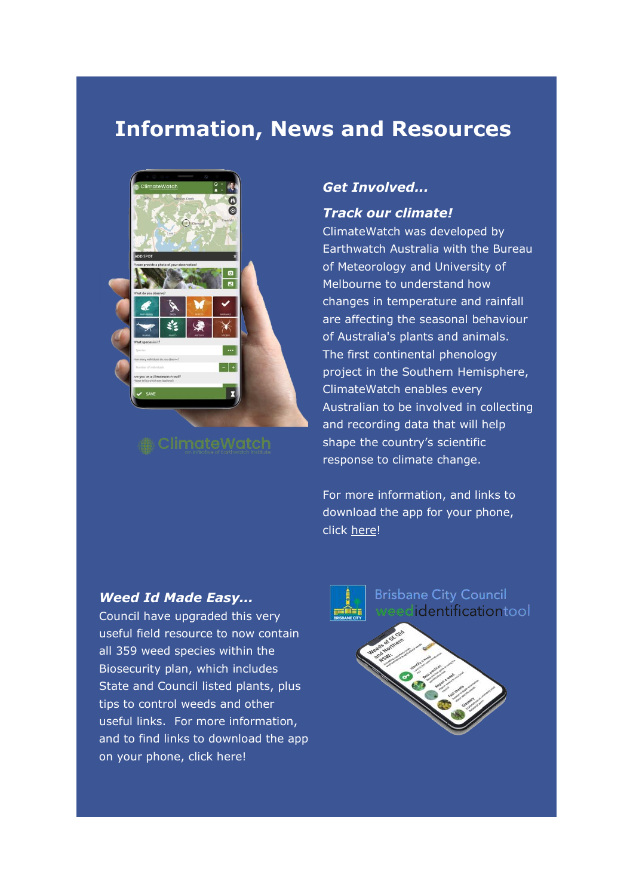## **Information, News and Resources**



### *Get Involved...*

### *Track our climate!*

ClimateWatch was developed by Earthwatch Australia with the Bureau of Meteorology and University of Melbourne to understand how changes in temperature and rainfall are affecting the seasonal behaviour of Australia's plants and animals. The first continental phenology project in the Southern Hemisphere, ClimateWatch enables every Australian to be involved in collecting and recording data that will help shape the country's scientific response to climate change.

For more information, and links to download the app for your phone, click [here!](https://aus01.safelinks.protection.outlook.com/?url=https%3A%2F%2Fqld.us13.list-manage.com%2Ftrack%2Fclick%3Fu%3Da922fafc86dd7f2502e47f421%26id%3D9fcbfb0524%26e%3Db990b91f1a&data=04%7C01%7Cjodi.rees%40brisbane.qld.gov.au%7C348150d2cd2043f8cd1c08d9da293d0c%7Ca47f8d5aa5f24813a71af0d70679e236%7C0%7C0%7C637780693731206094%7CUnknown%7CTWFpbGZsb3d8eyJWIjoiMC4wLjAwMDAiLCJQIjoiV2luMzIiLCJBTiI6Ik1haWwiLCJXVCI6Mn0%3D%7C3000&sdata=yNQIfuwprJOSsd4LzR%2FAzF1q4EcqT4WoyB%2FzVZvuEyk%3D&reserved=0)

#### *Weed Id Made Easy...*

Council have upgraded this very useful field resource to now contain all 359 weed species within the Biosecurity plan, which includes State and Council listed plants, plus tips to control weeds and other useful links. For more information, and to find links to download the app on your phone, click here!



**Brisbane City Council** identificationtool